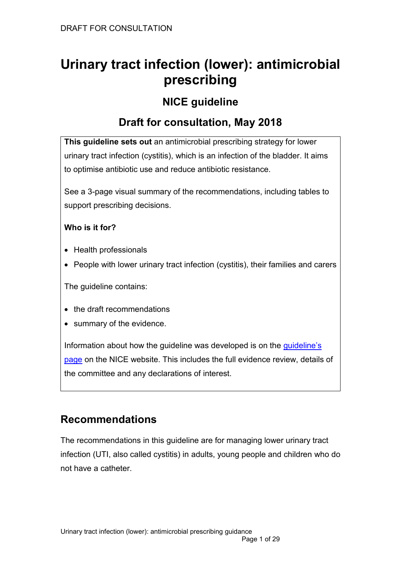# **Urinary tract infection (lower): antimicrobial prescribing**

# **NICE guideline**

# **Draft for consultation, May 2018**

**This guideline sets out** an antimicrobial prescribing strategy for lower urinary tract infection (cystitis), which is an infection of the bladder. It aims to optimise antibiotic use and reduce antibiotic resistance.

See a 3-page visual summary of the recommendations, including tables to support prescribing decisions.

### **Who is it for?**

- Health professionals
- People with lower urinary tract infection (cystitis), their families and carers

The guideline contains:

- the draft recommendations
- summary of the evidence.

Information about how the guideline was developed is on the [guideline's](https://www.nice.org.uk/guidance/indevelopment/gid-apg10004)  [page](https://www.nice.org.uk/guidance/indevelopment/gid-apg10004) on the NICE website. This includes the full evidence review, details of the committee and any declarations of interest.

# **Recommendations**

The recommendations in this guideline are for managing lower urinary tract infection (UTI, also called cystitis) in adults, young people and children who do not have a catheter.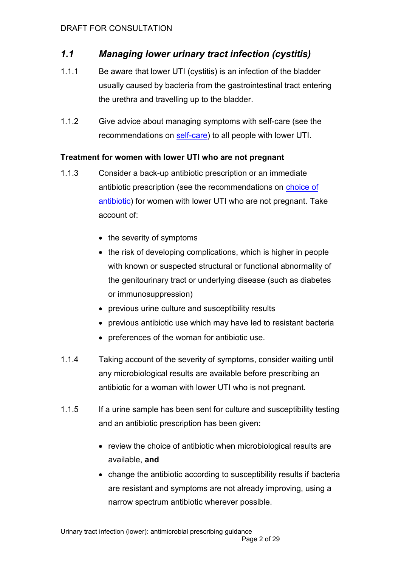# *1.1 Managing lower urinary tract infection (cystitis)*

- 1.1.1 Be aware that lower UTI (cystitis) is an infection of the bladder usually caused by bacteria from the gastrointestinal tract entering the urethra and travelling up to the bladder.
- 1.1.2 Give advice about managing symptoms with self-care (see the recommendations on [self-care\)](#page-5-0) to all people with lower UTI.

#### **Treatment for women with lower UTI who are not pregnant**

- 1.1.3 Consider a back-up antibiotic prescription or an immediate antibiotic prescription (see the recommendations on [choice of](#page-5-1)  [antibiotic\)](#page-5-1) for women with lower UTI who are not pregnant. Take account of:
	- the severity of symptoms
	- the risk of developing complications, which is higher in people with known or suspected structural or functional abnormality of the genitourinary tract or underlying disease (such as diabetes or immunosuppression)
	- previous urine culture and susceptibility results
	- previous antibiotic use which may have led to resistant bacteria
	- preferences of the woman for antibiotic use.
- 1.1.4 Taking account of the severity of symptoms, consider waiting until any microbiological results are available before prescribing an antibiotic for a woman with lower UTI who is not pregnant.
- 1.1.5 If a urine sample has been sent for culture and susceptibility testing and an antibiotic prescription has been given:
	- review the choice of antibiotic when microbiological results are available, **and**
	- change the antibiotic according to susceptibility results if bacteria are resistant and symptoms are not already improving, using a narrow spectrum antibiotic wherever possible.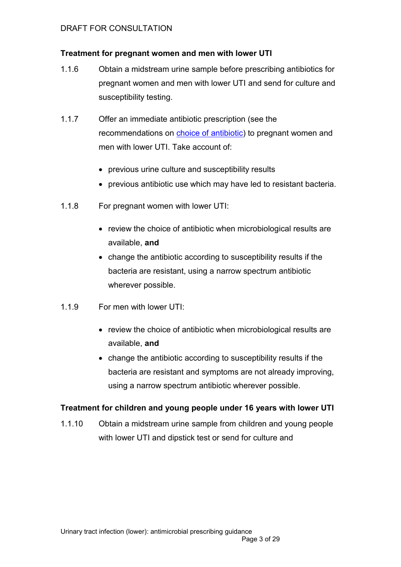#### **Treatment for pregnant women and men with lower UTI**

- 1.1.6 Obtain a midstream urine sample before prescribing antibiotics for pregnant women and men with lower UTI and send for culture and susceptibility testing.
- 1.1.7 Offer an immediate antibiotic prescription (see the recommendations on [choice of antibiotic\)](#page-5-1) to pregnant women and men with lower UTI. Take account of:
	- previous urine culture and susceptibility results
	- previous antibiotic use which may have led to resistant bacteria.
- 1.1.8 For pregnant women with lower UTI:
	- review the choice of antibiotic when microbiological results are available, **and**
	- change the antibiotic according to susceptibility results if the bacteria are resistant, using a narrow spectrum antibiotic wherever possible.
- 1.1.9 For men with lower UTI:
	- review the choice of antibiotic when microbiological results are available, **and**
	- change the antibiotic according to susceptibility results if the bacteria are resistant and symptoms are not already improving, using a narrow spectrum antibiotic wherever possible.

#### **Treatment for children and young people under 16 years with lower UTI**

1.1.10 Obtain a midstream urine sample from children and young people with lower UTI and dipstick test or send for culture and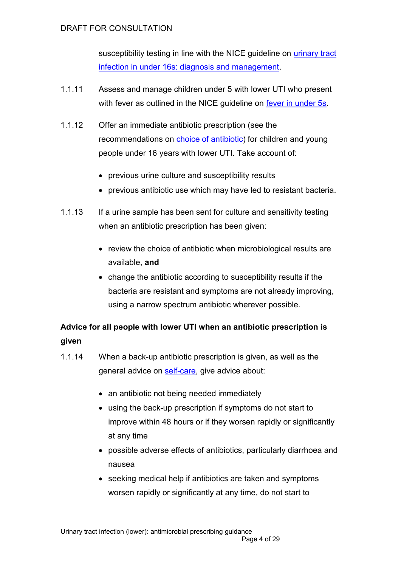susceptibility testing in line with the NICE guideline on *urinary tract* [infection in under 16s: diagnosis and management.](https://www.nice.org.uk/guidance/cg54)

- 1.1.11 Assess and manage children under 5 with lower UTI who present with fever as outlined in the NICE guideline on [fever in under 5s.](https://www.nice.org.uk/guidance/cg160)
- 1.1.12 Offer an immediate antibiotic prescription (see the recommendations on [choice of antibiotic\)](#page-5-1) for children and young people under 16 years with lower UTI. Take account of:
	- previous urine culture and susceptibility results
	- previous antibiotic use which may have led to resistant bacteria.
- 1.1.13 If a urine sample has been sent for culture and sensitivity testing when an antibiotic prescription has been given:
	- review the choice of antibiotic when microbiological results are available, **and**
	- change the antibiotic according to susceptibility results if the bacteria are resistant and symptoms are not already improving, using a narrow spectrum antibiotic wherever possible.

# **Advice for all people with lower UTI when an antibiotic prescription is given**

- 1.1.14 When a back-up antibiotic prescription is given, as well as the general advice on [self-care,](#page-5-0) give advice about:
	- an antibiotic not being needed immediately
	- using the back-up prescription if symptoms do not start to improve within 48 hours or if they worsen rapidly or significantly at any time
	- possible adverse effects of antibiotics, particularly diarrhoea and nausea
	- seeking medical help if antibiotics are taken and symptoms worsen rapidly or significantly at any time, do not start to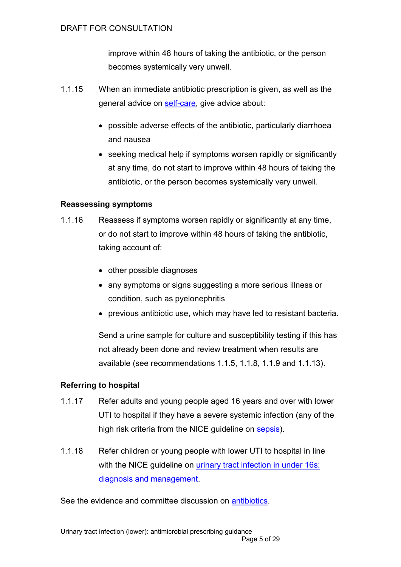improve within 48 hours of taking the antibiotic, or the person becomes systemically very unwell.

- 1.1.15 When an immediate antibiotic prescription is given, as well as the general advice on [self-care,](#page-5-0) give advice about:
	- possible adverse effects of the antibiotic, particularly diarrhoea and nausea
	- seeking medical help if symptoms worsen rapidly or significantly at any time, do not start to improve within 48 hours of taking the antibiotic, or the person becomes systemically very unwell.

#### **Reassessing symptoms**

- 1.1.16 Reassess if symptoms worsen rapidly or significantly at any time, or do not start to improve within 48 hours of taking the antibiotic, taking account of:
	- other possible diagnoses
	- any symptoms or signs suggesting a more serious illness or condition, such as pyelonephritis
	- previous antibiotic use, which may have led to resistant bacteria.

Send a urine sample for culture and susceptibility testing if this has not already been done and review treatment when results are available (see recommendations 1.1.5, 1.1.8, 1.1.9 and 1.1.13).

#### **Referring to hospital**

- 1.1.17 Refer adults and young people aged 16 years and over with lower UTI to hospital if they have a severe systemic infection (any of the high risk criteria from the NICE guideline on [sepsis\)](https://www.nice.org.uk/guidance/ng51).
- 1.1.18 Refer children or young people with lower UTI to hospital in line with the NICE guideline on urinary tract infection in under 16s: [diagnosis and management.](https://www.nice.org.uk/guidance/cg54)

See the evidence and committee discussion on [antibiotics.](#page-11-0)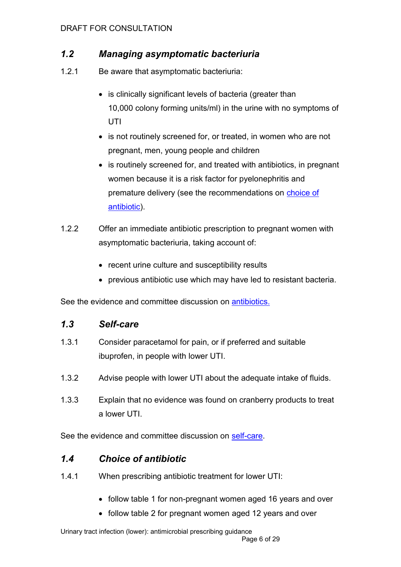# *1.2 Managing asymptomatic bacteriuria*

- 1.2.1 Be aware that asymptomatic bacteriuria:
	- is clinically significant levels of bacteria (greater than 10,000 colony forming units/ml) in the urine with no symptoms of **UTI**
	- is not routinely screened for, or treated, in women who are not pregnant, men, young people and children
	- is routinely screened for, and treated with antibiotics, in pregnant women because it is a risk factor for pyelonephritis and premature delivery (see the recommendations on [choice of](#page-5-1)  [antibiotic\)](#page-5-1).
- 1.2.2 Offer an immediate antibiotic prescription to pregnant women with asymptomatic bacteriuria, taking account of:
	- recent urine culture and susceptibility results
	- previous antibiotic use which may have led to resistant bacteria.

See the evidence and committee discussion on [antibiotics.](#page-11-0)

### <span id="page-5-0"></span>*1.3 Self-care*

- 1.3.1 Consider paracetamol for pain, or if preferred and suitable ibuprofen, in people with lower UTI.
- 1.3.2 Advise people with lower UTI about the adequate intake of fluids.
- 1.3.3 Explain that no evidence was found on cranberry products to treat a lower UTI.

See the evidence and committee discussion on [self-care.](#page-9-0)

# <span id="page-5-1"></span>*1.4 Choice of antibiotic*

- 1.4.1 When prescribing antibiotic treatment for lower UTI:
	- follow table 1 for non-pregnant women aged 16 years and over
	- follow table 2 for pregnant women aged 12 years and over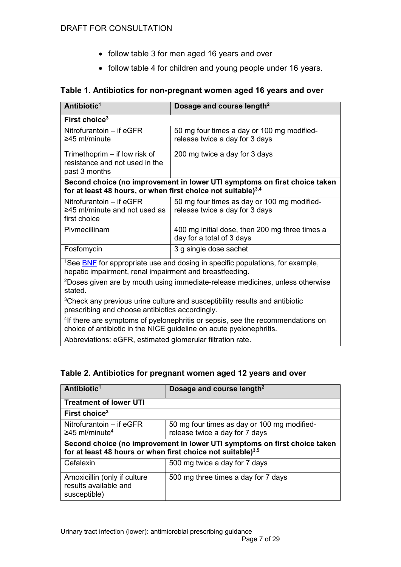- follow table 3 for men aged 16 years and over
- follow table 4 for children and young people under 16 years.

#### **Table 1. Antibiotics for non-pregnant women aged 16 years and over**

| Antibiotic <sup>1</sup>                                                                                                                                           | Dosage and course length <sup>2</sup>                                         |  |
|-------------------------------------------------------------------------------------------------------------------------------------------------------------------|-------------------------------------------------------------------------------|--|
| First choice <sup>3</sup>                                                                                                                                         |                                                                               |  |
| Nitrofurantoin - if eGFR<br>$\geq$ 45 ml/minute                                                                                                                   | 50 mg four times a day or 100 mg modified-<br>release twice a day for 3 days  |  |
| Trimethoprim – if low risk of<br>resistance and not used in the<br>past 3 months                                                                                  | 200 mg twice a day for 3 days                                                 |  |
| Second choice (no improvement in lower UTI symptoms on first choice taken<br>for at least 48 hours, or when first choice not suitable) <sup>3,4</sup>             |                                                                               |  |
| Nitrofurantoin - if eGFR<br>$\geq$ 45 ml/minute and not used as<br>first choice                                                                                   | 50 mg four times as day or 100 mg modified-<br>release twice a day for 3 days |  |
| Pivmecillinam                                                                                                                                                     | 400 mg initial dose, then 200 mg three times a<br>day for a total of 3 days   |  |
| Fosfomycin                                                                                                                                                        | 3 g single dose sachet                                                        |  |
| <sup>1</sup> See <b>BNF</b> for appropriate use and dosing in specific populations, for example,<br>hepatic impairment, renal impairment and breastfeeding.       |                                                                               |  |
| <sup>2</sup> Doses given are by mouth using immediate-release medicines, unless otherwise<br>stated.                                                              |                                                                               |  |
| <sup>3</sup> Check any previous urine culture and susceptibility results and antibiotic<br>prescribing and choose antibiotics accordingly.                        |                                                                               |  |
| <sup>4</sup> If there are symptoms of pyelonephritis or sepsis, see the recommendations on<br>choice of antibiotic in the NICE guideline on acute pyelonephritis. |                                                                               |  |
| Abbreviations: eGFR, estimated glomerular filtration rate.                                                                                                        |                                                                               |  |

#### **Table 2. Antibiotics for pregnant women aged 12 years and over**

| Antibiotic <sup>1</sup>                                                                                                                              | Dosage and course length <sup>2</sup>                                         |  |
|------------------------------------------------------------------------------------------------------------------------------------------------------|-------------------------------------------------------------------------------|--|
| <b>Treatment of lower UTI</b>                                                                                                                        |                                                                               |  |
| First choice <sup>3</sup>                                                                                                                            |                                                                               |  |
| Nitrofurantoin – if eGFR<br>$\geq$ 45 ml/minute <sup>4</sup>                                                                                         | 50 mg four times as day or 100 mg modified-<br>release twice a day for 7 days |  |
| Second choice (no improvement in lower UTI symptoms on first choice taken<br>for at least 48 hours or when first choice not suitable) <sup>3,5</sup> |                                                                               |  |
| Cefalexin                                                                                                                                            | 500 mg twice a day for 7 days                                                 |  |
| Amoxicillin (only if culture<br>results available and<br>susceptible)                                                                                | 500 mg three times a day for 7 days                                           |  |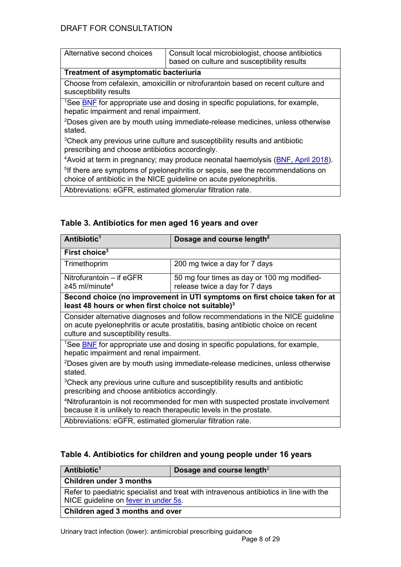| Alternative second choices                                                                                                                                        | Consult local microbiologist, choose antibiotics<br>based on culture and susceptibility results |  |
|-------------------------------------------------------------------------------------------------------------------------------------------------------------------|-------------------------------------------------------------------------------------------------|--|
| Treatment of asymptomatic bacteriuria                                                                                                                             |                                                                                                 |  |
| Choose from cefalexin, amoxicillin or nitrofurantoin based on recent culture and<br>susceptibility results                                                        |                                                                                                 |  |
| <sup>1</sup> See BNF for appropriate use and dosing in specific populations, for example,<br>hepatic impairment and renal impairment.                             |                                                                                                 |  |
| <sup>2</sup> Doses given are by mouth using immediate-release medicines, unless otherwise<br>stated.                                                              |                                                                                                 |  |
| <sup>3</sup> Check any previous urine culture and susceptibility results and antibiotic<br>prescribing and choose antibiotics accordingly.                        |                                                                                                 |  |
| <sup>4</sup> Avoid at term in pregnancy; may produce neonatal haemolysis ( <b>BNF, April 2018</b> ).                                                              |                                                                                                 |  |
| <sup>5</sup> If there are symptoms of pyelonephritis or sepsis, see the recommendations on<br>choice of antibiotic in the NICE guideline on acute pyelonephritis. |                                                                                                 |  |
| Abbreviations: eGFR, estimated glomerular filtration rate.                                                                                                        |                                                                                                 |  |

# **Table 3. Antibiotics for men aged 16 years and over**

| Antibiotic <sup>1</sup>                                                                                                                                                                                    | Dosage and course length <sup>2</sup>       |  |
|------------------------------------------------------------------------------------------------------------------------------------------------------------------------------------------------------------|---------------------------------------------|--|
| First choice <sup>3</sup>                                                                                                                                                                                  |                                             |  |
| Trimethoprim                                                                                                                                                                                               | 200 mg twice a day for 7 days               |  |
| Nitrofurantoin - if eGFR                                                                                                                                                                                   | 50 mg four times as day or 100 mg modified- |  |
| $\geq$ 45 ml/minute <sup>4</sup>                                                                                                                                                                           | release twice a day for 7 days              |  |
| Second choice (no improvement in UTI symptoms on first choice taken for at<br>least 48 hours or when first choice not suitable) <sup>3</sup>                                                               |                                             |  |
| Consider alternative diagnoses and follow recommendations in the NICE quideline<br>on acute pyelonephritis or acute prostatitis, basing antibiotic choice on recent<br>culture and susceptibility results. |                                             |  |
| <sup>1</sup> See <b>BNF</b> for appropriate use and dosing in specific populations, for example,<br>hepatic impairment and renal impairment.                                                               |                                             |  |
| <sup>2</sup> Doses given are by mouth using immediate-release medicines, unless otherwise<br>stated.                                                                                                       |                                             |  |
| <sup>3</sup> Check any previous urine culture and susceptibility results and antibiotic<br>prescribing and choose antibiotics accordingly.                                                                 |                                             |  |
| <sup>4</sup> Nitrofurantoin is not recommended for men with suspected prostate involvement<br>because it is unlikely to reach therapeutic levels in the prostate.                                          |                                             |  |
| Abbreviations: eGFR, estimated glomerular filtration rate.                                                                                                                                                 |                                             |  |

#### **Table 4. Antibiotics for children and young people under 16 years**

| Antibiotic <sup>1</sup>                                                                | Dosage and course length <sup>2</sup> |  |
|----------------------------------------------------------------------------------------|---------------------------------------|--|
| <b>Children under 3 months</b>                                                         |                                       |  |
| Refer to paediatric specialist and treat with intravenous antibiotics in line with the |                                       |  |
| NICE guideline on fever in under 5s.                                                   |                                       |  |
| <b>Children aged 3 months and over</b>                                                 |                                       |  |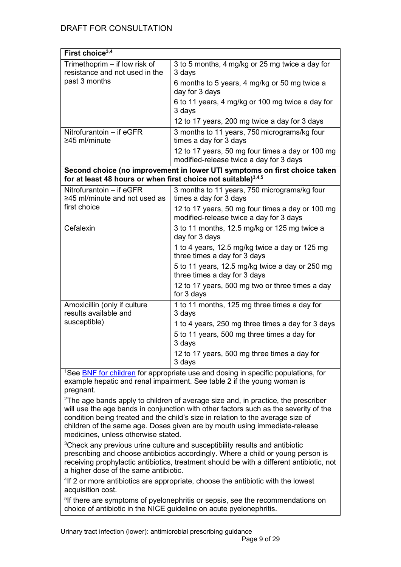| First choice <sup>3,4</sup>                                                                                                                            |                                                                                             |  |
|--------------------------------------------------------------------------------------------------------------------------------------------------------|---------------------------------------------------------------------------------------------|--|
| Trimethoprim - if low risk of<br>resistance and not used in the<br>past 3 months                                                                       | 3 to 5 months, 4 mg/kg or 25 mg twice a day for<br>3 days                                   |  |
|                                                                                                                                                        | 6 months to 5 years, 4 mg/kg or 50 mg twice a<br>day for 3 days                             |  |
|                                                                                                                                                        | 6 to 11 years, 4 mg/kg or 100 mg twice a day for<br>3 days                                  |  |
|                                                                                                                                                        | 12 to 17 years, 200 mg twice a day for 3 days                                               |  |
| Nitrofurantoin $-$ if eGFR<br>$\geq$ 45 ml/minute                                                                                                      | 3 months to 11 years, 750 micrograms/kg four<br>times a day for 3 days                      |  |
|                                                                                                                                                        | 12 to 17 years, 50 mg four times a day or 100 mg<br>modified-release twice a day for 3 days |  |
| Second choice (no improvement in lower UTI symptoms on first choice taken<br>for at least 48 hours or when first choice not suitable) <sup>3,4,5</sup> |                                                                                             |  |
| Nitrofurantoin - if eGFR<br>≥45 ml/minute and not used as<br>first choice                                                                              | 3 months to 11 years, 750 micrograms/kg four<br>times a day for 3 days                      |  |
|                                                                                                                                                        | 12 to 17 years, 50 mg four times a day or 100 mg<br>modified-release twice a day for 3 days |  |
| Cefalexin                                                                                                                                              | 3 to 11 months, 12.5 mg/kg or 125 mg twice a<br>day for 3 days                              |  |
|                                                                                                                                                        | 1 to 4 years, 12.5 mg/kg twice a day or 125 mg<br>three times a day for 3 days              |  |
|                                                                                                                                                        | 5 to 11 years, 12.5 mg/kg twice a day or 250 mg<br>three times a day for 3 days             |  |
|                                                                                                                                                        | 12 to 17 years, 500 mg two or three times a day<br>for 3 days                               |  |
| Amoxicillin (only if culture<br>results available and<br>susceptible)                                                                                  | 1 to 11 months, 125 mg three times a day for<br>3 days                                      |  |
|                                                                                                                                                        | 1 to 4 years, 250 mg three times a day for 3 days                                           |  |
|                                                                                                                                                        | 5 to 11 years, 500 mg three times a day for<br>3 days                                       |  |
|                                                                                                                                                        | 12 to 17 years, 500 mg three times a day for<br>3 days                                      |  |

<sup>1</sup>See [BNF for children](https://www.evidence.nhs.uk/formulary/bnfc/current) for appropriate use and dosing in specific populations, for example hepatic and renal impairment. See table 2 if the young woman is pregnant.

 $2$ The age bands apply to children of average size and, in practice, the prescriber will use the age bands in conjunction with other factors such as the severity of the condition being treated and the child's size in relation to the average size of children of the same age. Doses given are by mouth using immediate-release medicines, unless otherwise stated.

<sup>3</sup>Check any previous urine culture and susceptibility results and antibiotic prescribing and choose antibiotics accordingly. Where a child or young person is receiving prophylactic antibiotics, treatment should be with a different antibiotic, not a higher dose of the same antibiotic.

<sup>4</sup>If 2 or more antibiotics are appropriate, choose the antibiotic with the lowest acquisition cost.

<sup>5</sup>If there are symptoms of pyelonephritis or sepsis, see the recommendations on choice of antibiotic in the NICE guideline on acute pyelonephritis.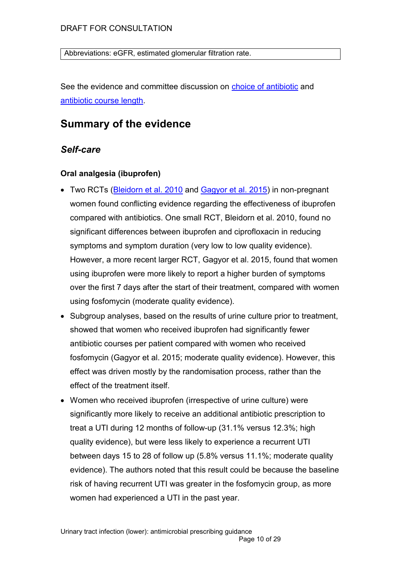Abbreviations: eGFR, estimated glomerular filtration rate.

See the evidence and committee discussion on [choice of antibiotic](#page-18-0) and [antibiotic course length.](#page-24-0)

# **Summary of the evidence**

### <span id="page-9-0"></span>*Self-care*

#### **Oral analgesia (ibuprofen)**

- Two RCTs [\(Bleidorn et al. 2010](file://///nice.nhs.uk/data/H&SC/COMMON%20INFECTIONS/Topics/9.%20Lower%20urinary%20tract%20infections/3.%20Draft%20guideline/RSeysemarchp%20arttoiclematic%20treatment%20(ibuprofen)%20or%20antibiotics) and [Gagyor et al. 2015\)](https://www.ncbi.nlm.nih.gov/pubmed/26698878) in non-pregnant women found conflicting evidence regarding the effectiveness of ibuprofen compared with antibiotics. One small RCT, Bleidorn et al. 2010, found no significant differences between ibuprofen and ciprofloxacin in reducing symptoms and symptom duration (very low to low quality evidence). However, a more recent larger RCT, Gagyor et al. 2015, found that women using ibuprofen were more likely to report a higher burden of symptoms over the first 7 days after the start of their treatment, compared with women using fosfomycin (moderate quality evidence).
- Subgroup analyses, based on the results of urine culture prior to treatment, showed that women who received ibuprofen had significantly fewer antibiotic courses per patient compared with women who received fosfomycin (Gagyor et al. 2015; moderate quality evidence). However, this effect was driven mostly by the randomisation process, rather than the effect of the treatment itself.
- Women who received ibuprofen (irrespective of urine culture) were significantly more likely to receive an additional antibiotic prescription to treat a UTI during 12 months of follow-up (31.1% versus 12.3%; high quality evidence), but were less likely to experience a recurrent UTI between days 15 to 28 of follow up (5.8% versus 11.1%; moderate quality evidence). The authors noted that this result could be because the baseline risk of having recurrent UTI was greater in the fosfomycin group, as more women had experienced a UTI in the past year.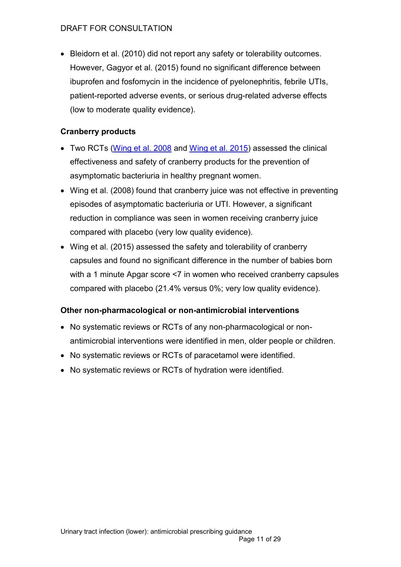Bleidorn et al. (2010) did not report any safety or tolerability outcomes. However, Gagyor et al. (2015) found no significant difference between ibuprofen and fosfomycin in the incidence of pyelonephritis, febrile UTIs, patient-reported adverse events, or serious drug-related adverse effects (low to moderate quality evidence).

#### **Cranberry products**

- Two RCTs [\(Wing et al. 2008](https://www.ncbi.nlm.nih.gov/pubmed/18707726) and [Wing et al. 2015\)](https://www.ncbi.nlm.nih.gov/pubmed/?term=Pilot+Study+to+Evaluate+Compliance+and+Tolerability+of+Cranberry+Capsules+in+Pregnancy+for+the+Prevention+of+Asymptomatic+Bacteriuria) assessed the clinical effectiveness and safety of cranberry products for the prevention of asymptomatic bacteriuria in healthy pregnant women.
- Wing et al. (2008) found that cranberry juice was not effective in preventing episodes of asymptomatic bacteriuria or UTI. However, a significant reduction in compliance was seen in women receiving cranberry juice compared with placebo (very low quality evidence).
- Wing et al. (2015) assessed the safety and tolerability of cranberry capsules and found no significant difference in the number of babies born with a 1 minute Apgar score <7 in women who received cranberry capsules compared with placebo (21.4% versus 0%; very low quality evidence).

#### **Other non-pharmacological or non-antimicrobial interventions**

- No systematic reviews or RCTs of any non-pharmacological or nonantimicrobial interventions were identified in men, older people or children.
- No systematic reviews or RCTs of paracetamol were identified.
- No systematic reviews or RCTs of hydration were identified.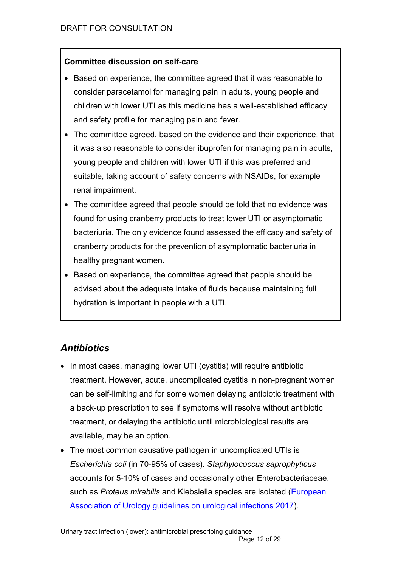#### **Committee discussion on self-care**

- Based on experience, the committee agreed that it was reasonable to consider paracetamol for managing pain in adults, young people and children with lower UTI as this medicine has a well-established efficacy and safety profile for managing pain and fever.
- The committee agreed, based on the evidence and their experience, that it was also reasonable to consider ibuprofen for managing pain in adults, young people and children with lower UTI if this was preferred and suitable, taking account of safety concerns with NSAIDs, for example renal impairment.
- The committee agreed that people should be told that no evidence was found for using cranberry products to treat lower UTI or asymptomatic bacteriuria. The only evidence found assessed the efficacy and safety of cranberry products for the prevention of asymptomatic bacteriuria in healthy pregnant women.
- Based on experience, the committee agreed that people should be advised about the adequate intake of fluids because maintaining full hydration is important in people with a UTI.

# <span id="page-11-0"></span>*Antibiotics*

- In most cases, managing lower UTI (cystitis) will require antibiotic treatment. However, acute, uncomplicated cystitis in non-pregnant women can be self-limiting and for some women delaying antibiotic treatment with a back-up prescription to see if symptoms will resolve without antibiotic treatment, or delaying the antibiotic until microbiological results are available, may be an option.
- The most common causative pathogen in uncomplicated UTIs is *Escherichia coli* (in 70-95% of cases). *Staphylococcus saprophyticus* accounts for 5-10% of cases and occasionally other Enterobacteriaceae, such as *Proteus mirabilis* and Klebsiella species are isolated [\(European](http://uroweb.org/guideline/urological-infections/)  [Association of Urology guidelines on urological infections 2017\)](http://uroweb.org/guideline/urological-infections/).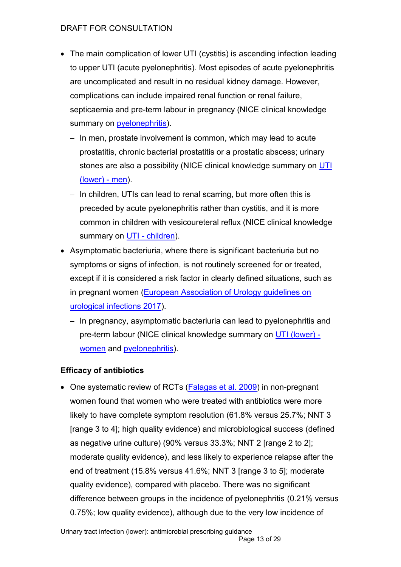- The main complication of lower UTI (cystitis) is ascending infection leading to upper UTI (acute pyelonephritis). Most episodes of acute pyelonephritis are uncomplicated and result in no residual kidney damage. However, complications can include impaired renal function or renal failure, septicaemia and pre-term labour in pregnancy (NICE clinical knowledge summary on **pyelonephritis**).
	- $-$  In men, prostate involvement is common, which may lead to acute prostatitis, chronic bacterial prostatitis or a prostatic abscess; urinary stones are also a possibility (NICE clinical knowledge summary on UTI [\(lower\) -](https://cks.nice.org.uk/urinary-tract-infection-lower-men) men).
	- $-$  In children, UTIs can lead to renal scarring, but more often this is preceded by acute pyelonephritis rather than cystitis, and it is more common in children with vesicoureteral reflux (NICE clinical knowledge summary on UTI - [children\)](https://cks.nice.org.uk/urinary-tract-infection-children).
- Asymptomatic bacteriuria, where there is significant bacteriuria but no symptoms or signs of infection, is not routinely screened for or treated, except if it is considered a risk factor in clearly defined situations, such as in pregnant women (European Association of Urology guidelines on [urological infections 2017\)](http://uroweb.org/guideline/urological-infections/).
	- $-$  In pregnancy, asymptomatic bacteriuria can lead to pyelonephritis and pre-term labour (NICE clinical knowledge summary on [UTI \(lower\)](https://cks.nice.org.uk/urinary-tract-infection-lower-women)  [women](https://cks.nice.org.uk/urinary-tract-infection-lower-women) and [pyelonephritis\)](https://cks.nice.org.uk/pyelonephritis-acute).

### **Efficacy of antibiotics**

• One systematic review of RCTs [\(Falagas et](https://www.ncbi.nlm.nih.gov/pubmed/?term=Antibiotics+versus+placebo+in+the+treatment+of+women+with+uncomplicated+cystitis%3A+A+meta-analysis+of+randomized+controlled+trials) al. 2009) in non-pregnant women found that women who were treated with antibiotics were more likely to have complete symptom resolution (61.8% versus 25.7%; NNT 3 [range 3 to 4]; high quality evidence) and microbiological success (defined as negative urine culture) (90% versus 33.3%; NNT 2 [range 2 to 2]; moderate quality evidence), and less likely to experience relapse after the end of treatment (15.8% versus 41.6%; NNT 3 [range 3 to 5]; moderate quality evidence), compared with placebo. There was no significant difference between groups in the incidence of pyelonephritis (0.21% versus 0.75%; low quality evidence), although due to the very low incidence of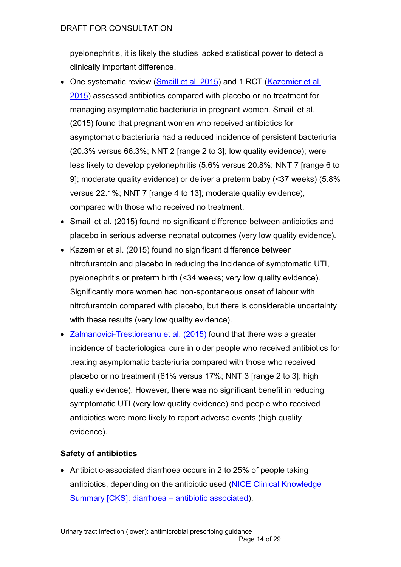pyelonephritis, it is likely the studies lacked statistical power to detect a clinically important difference.

- One systematic review [\(Smaill et al. 2015\)](https://www.ncbi.nlm.nih.gov/pubmed/26252501) and 1 RCT (Kazemier et al. [2015\)](https://www.ncbi.nlm.nih.gov/pubmed/26255208) assessed antibiotics compared with placebo or no treatment for managing asymptomatic bacteriuria in pregnant women. Smaill et al. (2015) found that pregnant women who received antibiotics for asymptomatic bacteriuria had a reduced incidence of persistent bacteriuria (20.3% versus 66.3%; NNT 2 [range 2 to 3]; low quality evidence); were less likely to develop pyelonephritis (5.6% versus 20.8%; NNT 7 [range 6 to 9]; moderate quality evidence) or deliver a preterm baby (<37 weeks) (5.8% versus 22.1%; NNT 7 [range 4 to 13]; moderate quality evidence), compared with those who received no treatment.
- Smaill et al. (2015) found no significant difference between antibiotics and placebo in serious adverse neonatal outcomes (very low quality evidence).
- Kazemier et al. (2015) found no significant difference between nitrofurantoin and placebo in reducing the incidence of symptomatic UTI, pyelonephritis or preterm birth (<34 weeks; very low quality evidence). Significantly more women had non-spontaneous onset of labour with nitrofurantoin compared with placebo, but there is considerable uncertainty with these results (very low quality evidence).
- [Zalmanovici-Trestioreanu et al. \(2015\)](https://www.ncbi.nlm.nih.gov/pubmed/?term=Antibiotics+for+asymptomatic+bacteriuria+zalmanovici) found that there was a greater incidence of bacteriological cure in older people who received antibiotics for treating asymptomatic bacteriuria compared with those who received placebo or no treatment (61% versus 17%; NNT 3 [range 2 to 3]; high quality evidence). However, there was no significant benefit in reducing symptomatic UTI (very low quality evidence) and people who received antibiotics were more likely to report adverse events (high quality evidence).

#### **Safety of antibiotics**

• Antibiotic-associated diarrhoea occurs in 2 to 25% of people taking antibiotics, depending on the antibiotic used [\(NICE Clinical Knowledge](https://cks.nice.org.uk/diarrhoea-antibiotic-associated)  [Summary \[CKS\]: diarrhoea](https://cks.nice.org.uk/diarrhoea-antibiotic-associated) – antibiotic associated).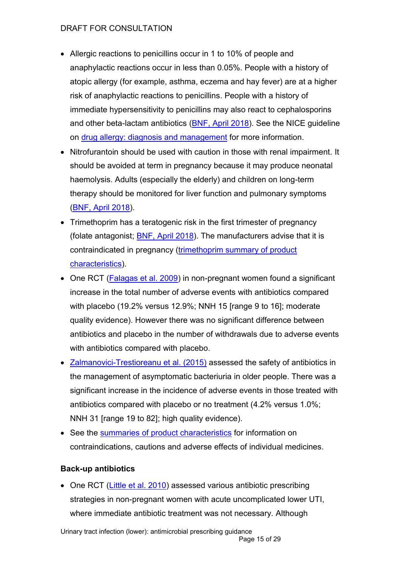- Allergic reactions to penicillins occur in 1 to 10% of people and anaphylactic reactions occur in less than 0.05%. People with a history of atopic allergy (for example, asthma, eczema and hay fever) are at a higher risk of anaphylactic reactions to penicillins. People with a history of immediate hypersensitivity to penicillins may also react to cephalosporins and other beta-lactam antibiotics [\(BNF, April 2018\)](https://bnf.nice.org.uk/drug/phenoxymethylpenicillin.html). See the NICE guideline on [drug allergy: diagnosis and management](https://www.nice.org.uk/guidance/cg183) for more information.
- Nitrofurantoin should be used with caution in those with renal impairment. It should be avoided at term in pregnancy because it may produce neonatal haemolysis. Adults (especially the elderly) and children on long-term therapy should be monitored for liver function and pulmonary symptoms [\(BNF, April 2018\)](https://bnf.nice.org.uk/drug/nitrofurantoin.html).
- Trimethoprim has a teratogenic risk in the first trimester of pregnancy (folate antagonist; [BNF, April 2018\)](https://bnf.nice.org.uk/drug/trimethoprim.html). The manufacturers advise that it is contraindicated in pregnancy [\(trimethoprim summary of product](https://www.medicines.org.uk/emc/product/5925)  [characteristics\)](https://www.medicines.org.uk/emc/product/5925).
- One RCT [\(Falagas et al. 2009\)](https://www.ncbi.nlm.nih.gov/pubmed/?term=Antibiotics+versus+placebo+in+the+treatment+of+women+with+uncomplicated+cystitis%3A+A+meta-analysis+of+randomized+controlled+trials) in non-pregnant women found a significant increase in the total number of adverse events with antibiotics compared with placebo (19.2% versus 12.9%; NNH 15 [range 9 to 16]; moderate quality evidence). However there was no significant difference between antibiotics and placebo in the number of withdrawals due to adverse events with antibiotics compared with placebo.
- [Zalmanovici-Trestioreanu et al. \(2015\)](https://www.ncbi.nlm.nih.gov/pubmed/?term=Antibiotics+for+asymptomatic+bacteriuria+zalmanovici) assessed the safety of antibiotics in the management of asymptomatic bacteriuria in older people. There was a significant increase in the incidence of adverse events in those treated with antibiotics compared with placebo or no treatment (4.2% versus 1.0%; NNH 31 [range 19 to 82]; high quality evidence).
- See the [summaries of product characteristics](https://www.medicines.org.uk/emc/) for information on contraindications, cautions and adverse effects of individual medicines.

#### **Back-up antibiotics**

• One RCT [\(Little et al. 2010\)](https://www.ncbi.nlm.nih.gov/pubmed/20139214) assessed various antibiotic prescribing strategies in non-pregnant women with acute uncomplicated lower UTI, where immediate antibiotic treatment was not necessary. Although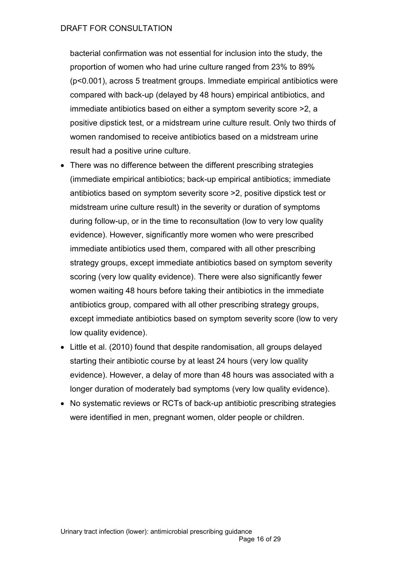bacterial confirmation was not essential for inclusion into the study, the proportion of women who had urine culture ranged from 23% to 89% (p<0.001), across 5 treatment groups. Immediate empirical antibiotics were compared with back-up (delayed by 48 hours) empirical antibiotics, and immediate antibiotics based on either a symptom severity score >2, a positive dipstick test, or a midstream urine culture result. Only two thirds of women randomised to receive antibiotics based on a midstream urine result had a positive urine culture.

- There was no difference between the different prescribing strategies (immediate empirical antibiotics; back-up empirical antibiotics; immediate antibiotics based on symptom severity score >2, positive dipstick test or midstream urine culture result) in the severity or duration of symptoms during follow-up, or in the time to reconsultation (low to very low quality evidence). However, significantly more women who were prescribed immediate antibiotics used them, compared with all other prescribing strategy groups, except immediate antibiotics based on symptom severity scoring (very low quality evidence). There were also significantly fewer women waiting 48 hours before taking their antibiotics in the immediate antibiotics group, compared with all other prescribing strategy groups, except immediate antibiotics based on symptom severity score (low to very low quality evidence).
- Little et al. (2010) found that despite randomisation, all groups delayed starting their antibiotic course by at least 24 hours (very low quality evidence). However, a delay of more than 48 hours was associated with a longer duration of moderately bad symptoms (very low quality evidence).
- No systematic reviews or RCTs of back-up antibiotic prescribing strategies were identified in men, pregnant women, older people or children.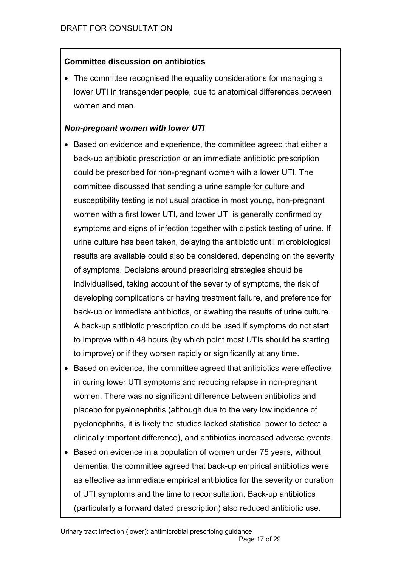#### **Committee discussion on antibiotics**

 The committee recognised the equality considerations for managing a lower UTI in transgender people, due to anatomical differences between women and men.

#### *Non-pregnant women with lower UTI*

- Based on evidence and experience, the committee agreed that either a back-up antibiotic prescription or an immediate antibiotic prescription could be prescribed for non-pregnant women with a lower UTI. The committee discussed that sending a urine sample for culture and susceptibility testing is not usual practice in most young, non-pregnant women with a first lower UTI, and lower UTI is generally confirmed by symptoms and signs of infection together with dipstick testing of urine. If urine culture has been taken, delaying the antibiotic until microbiological results are available could also be considered, depending on the severity of symptoms. Decisions around prescribing strategies should be individualised, taking account of the severity of symptoms, the risk of developing complications or having treatment failure, and preference for back-up or immediate antibiotics, or awaiting the results of urine culture. A back-up antibiotic prescription could be used if symptoms do not start to improve within 48 hours (by which point most UTIs should be starting to improve) or if they worsen rapidly or significantly at any time.
- Based on evidence, the committee agreed that antibiotics were effective in curing lower UTI symptoms and reducing relapse in non-pregnant women. There was no significant difference between antibiotics and placebo for pyelonephritis (although due to the very low incidence of pyelonephritis, it is likely the studies lacked statistical power to detect a clinically important difference), and antibiotics increased adverse events.
- Based on evidence in a population of women under 75 years, without dementia, the committee agreed that back-up empirical antibiotics were as effective as immediate empirical antibiotics for the severity or duration of UTI symptoms and the time to reconsultation. Back-up antibiotics (particularly a forward dated prescription) also reduced antibiotic use.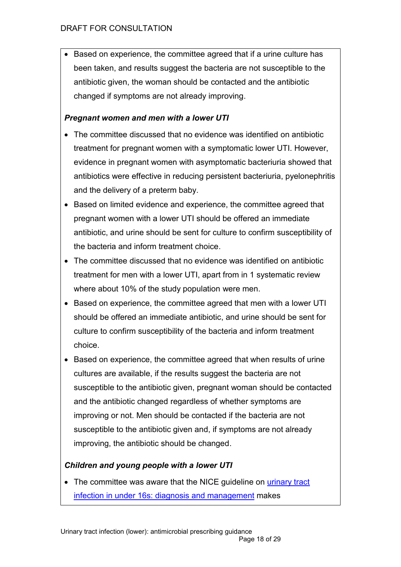• Based on experience, the committee agreed that if a urine culture has been taken, and results suggest the bacteria are not susceptible to the antibiotic given, the woman should be contacted and the antibiotic changed if symptoms are not already improving.

### *Pregnant women and men with a lower UTI*

- The committee discussed that no evidence was identified on antibiotic treatment for pregnant women with a symptomatic lower UTI. However, evidence in pregnant women with asymptomatic bacteriuria showed that antibiotics were effective in reducing persistent bacteriuria, pyelonephritis and the delivery of a preterm baby.
- Based on limited evidence and experience, the committee agreed that pregnant women with a lower UTI should be offered an immediate antibiotic, and urine should be sent for culture to confirm susceptibility of the bacteria and inform treatment choice.
- The committee discussed that no evidence was identified on antibiotic treatment for men with a lower UTI, apart from in 1 systematic review where about 10% of the study population were men.
- Based on experience, the committee agreed that men with a lower UTI should be offered an immediate antibiotic, and urine should be sent for culture to confirm susceptibility of the bacteria and inform treatment choice.
- Based on experience, the committee agreed that when results of urine cultures are available, if the results suggest the bacteria are not susceptible to the antibiotic given, pregnant woman should be contacted and the antibiotic changed regardless of whether symptoms are improving or not. Men should be contacted if the bacteria are not susceptible to the antibiotic given and, if symptoms are not already improving, the antibiotic should be changed.

# *Children and young people with a lower UTI*

• The committee was aware that the NICE guideline on urinary tract [infection in under 16s: diagnosis and management](http://www.nice.org.uk/cg54) makes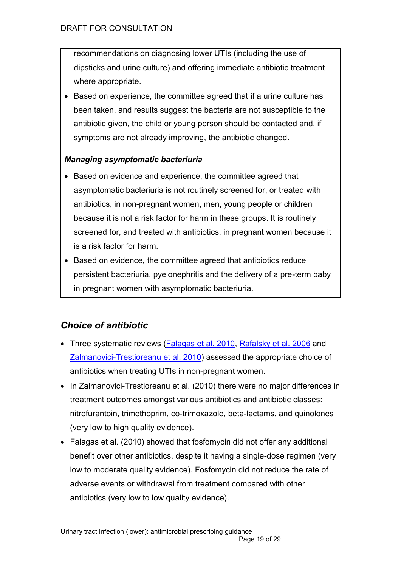recommendations on diagnosing lower UTIs (including the use of dipsticks and urine culture) and offering immediate antibiotic treatment where appropriate.

• Based on experience, the committee agreed that if a urine culture has been taken, and results suggest the bacteria are not susceptible to the antibiotic given, the child or young person should be contacted and, if symptoms are not already improving, the antibiotic changed.

#### *Managing asymptomatic bacteriuria*

- Based on evidence and experience, the committee agreed that asymptomatic bacteriuria is not routinely screened for, or treated with antibiotics, in non-pregnant women, men, young people or children because it is not a risk factor for harm in these groups. It is routinely screened for, and treated with antibiotics, in pregnant women because it is a risk factor for harm.
- Based on evidence, the committee agreed that antibiotics reduce persistent bacteriuria, pyelonephritis and the delivery of a pre-term baby in pregnant women with asymptomatic bacteriuria.

# <span id="page-18-0"></span>*Choice of antibiotic*

- Three systematic reviews [\(Falagas et al. 2010,](https://www.ncbi.nlm.nih.gov/pubmed/?term=Fosfomycin+versus+other+antibiotics+for+the+treatment+of+cystitis%3A+a+meta-analysis+of+randomized+controlled+trials) [Rafalsky et al. 2006](https://www.ncbi.nlm.nih.gov/pubmed/?term=Quinolones+for+uncomplicated+acute+cystitis+in+women+rafalsky) and [Zalmanovici-Trestioreanu et al. 2010\)](https://www.ncbi.nlm.nih.gov/pubmed/20927755) assessed the appropriate choice of antibiotics when treating UTIs in non-pregnant women.
- In Zalmanovici-Trestioreanu et al. (2010) there were no major differences in treatment outcomes amongst various antibiotics and antibiotic classes: nitrofurantoin, trimethoprim, co-trimoxazole, beta-lactams, and quinolones (very low to high quality evidence).
- Falagas et al. (2010) showed that fosfomycin did not offer any additional benefit over other antibiotics, despite it having a single-dose regimen (very low to moderate quality evidence). Fosfomycin did not reduce the rate of adverse events or withdrawal from treatment compared with other antibiotics (very low to low quality evidence).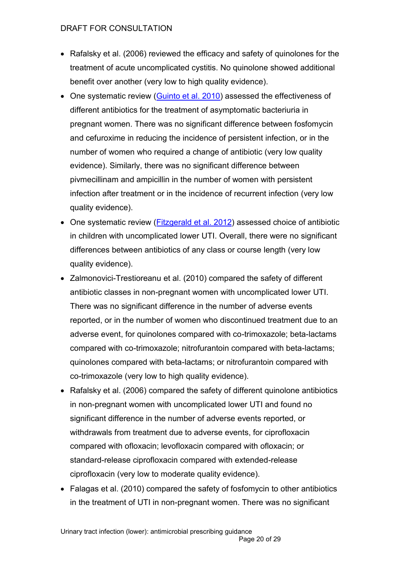- Rafalsky et al. (2006) reviewed the efficacy and safety of quinolones for the treatment of acute uncomplicated cystitis. No quinolone showed additional benefit over another (very low to high quality evidence).
- One systematic review [\(Guinto et al. 2010\)](https://www.ncbi.nlm.nih.gov/pubmed/20824868) assessed the effectiveness of different antibiotics for the treatment of asymptomatic bacteriuria in pregnant women. There was no significant difference between fosfomycin and cefuroxime in reducing the incidence of persistent infection, or in the number of women who required a change of antibiotic (very low quality evidence). Similarly, there was no significant difference between pivmecillinam and ampicillin in the number of women with persistent infection after treatment or in the incidence of recurrent infection (very low quality evidence).
- One systematic review [\(Fitzgerald et al. 2012\)](https://www.ncbi.nlm.nih.gov/pubmed/22895956) assessed choice of antibiotic in children with uncomplicated lower UTI. Overall, there were no significant differences between antibiotics of any class or course length (very low quality evidence).
- Zalmonovici-Trestioreanu et al. (2010) compared the safety of different antibiotic classes in non-pregnant women with uncomplicated lower UTI. There was no significant difference in the number of adverse events reported, or in the number of women who discontinued treatment due to an adverse event, for quinolones compared with co-trimoxazole; beta-lactams compared with co-trimoxazole; nitrofurantoin compared with beta-lactams; quinolones compared with beta-lactams; or nitrofurantoin compared with co-trimoxazole (very low to high quality evidence).
- Rafalsky et al. (2006) compared the safety of different quinolone antibiotics in non-pregnant women with uncomplicated lower UTI and found no significant difference in the number of adverse events reported, or withdrawals from treatment due to adverse events, for ciprofloxacin compared with ofloxacin; levofloxacin compared with ofloxacin; or standard-release ciprofloxacin compared with extended-release ciprofloxacin (very low to moderate quality evidence).
- Falagas et al. (2010) compared the safety of fosfomycin to other antibiotics in the treatment of UTI in non-pregnant women. There was no significant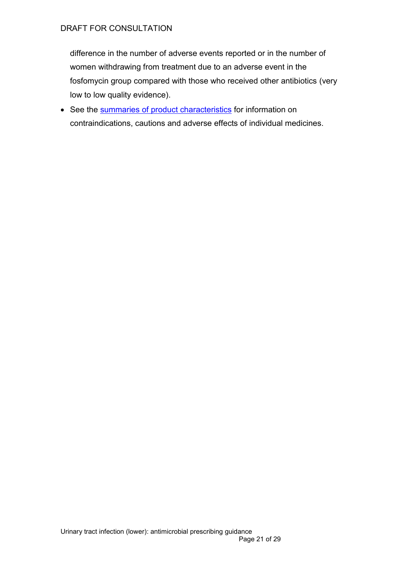difference in the number of adverse events reported or in the number of women withdrawing from treatment due to an adverse event in the fosfomycin group compared with those who received other antibiotics (very low to low quality evidence).

• See the [summaries of product characteristics](http://www.medicines.org.uk/) for information on contraindications, cautions and adverse effects of individual medicines.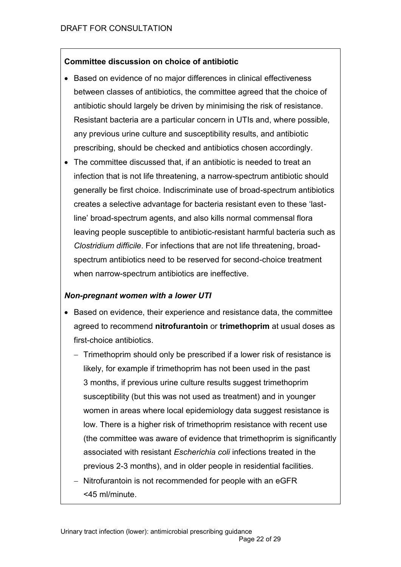#### **Committee discussion on choice of antibiotic**

- Based on evidence of no major differences in clinical effectiveness between classes of antibiotics, the committee agreed that the choice of antibiotic should largely be driven by minimising the risk of resistance. Resistant bacteria are a particular concern in UTIs and, where possible, any previous urine culture and susceptibility results, and antibiotic prescribing, should be checked and antibiotics chosen accordingly.
- The committee discussed that, if an antibiotic is needed to treat an infection that is not life threatening, a narrow-spectrum antibiotic should generally be first choice. Indiscriminate use of broad-spectrum antibiotics creates a selective advantage for bacteria resistant even to these 'lastline' broad-spectrum agents, and also kills normal commensal flora leaving people susceptible to antibiotic-resistant harmful bacteria such as *Clostridium difficile*. For infections that are not life threatening, broadspectrum antibiotics need to be reserved for second-choice treatment when narrow-spectrum antibiotics are ineffective.

#### *Non-pregnant women with a lower UTI*

- Based on evidence, their experience and resistance data, the committee agreed to recommend **nitrofurantoin** or **trimethoprim** at usual doses as first-choice antibiotics.
	- Trimethoprim should only be prescribed if a lower risk of resistance is likely, for example if trimethoprim has not been used in the past 3 months, if previous urine culture results suggest trimethoprim susceptibility (but this was not used as treatment) and in younger women in areas where local epidemiology data suggest resistance is low. There is a higher risk of trimethoprim resistance with recent use (the committee was aware of evidence that trimethoprim is significantly associated with resistant *Escherichia coli* infections treated in the previous 2-3 months), and in older people in residential facilities.
	- Nitrofurantoin is not recommended for people with an eGFR <45 ml/minute.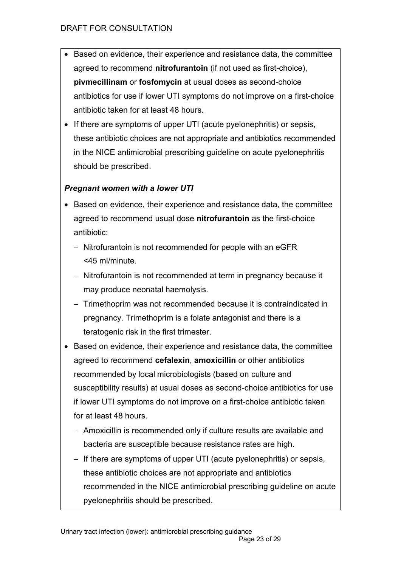- Based on evidence, their experience and resistance data, the committee agreed to recommend **nitrofurantoin** (if not used as first-choice), **pivmecillinam** or **fosfomycin** at usual doses as second-choice antibiotics for use if lower UTI symptoms do not improve on a first-choice antibiotic taken for at least 48 hours.
- If there are symptoms of upper UTI (acute pyelonephritis) or sepsis, these antibiotic choices are not appropriate and antibiotics recommended in the NICE antimicrobial prescribing guideline on acute pyelonephritis should be prescribed.

### *Pregnant women with a lower UTI*

- Based on evidence, their experience and resistance data, the committee agreed to recommend usual dose **nitrofurantoin** as the first-choice antibiotic:
	- Nitrofurantoin is not recommended for people with an eGFR <45 ml/minute.
	- Nitrofurantoin is not recommended at term in pregnancy because it may produce neonatal haemolysis.
	- Trimethoprim was not recommended because it is contraindicated in pregnancy. Trimethoprim is a folate antagonist and there is a teratogenic risk in the first trimester.
- Based on evidence, their experience and resistance data, the committee agreed to recommend **cefalexin**, **amoxicillin** or other antibiotics recommended by local microbiologists (based on culture and susceptibility results) at usual doses as second-choice antibiotics for use if lower UTI symptoms do not improve on a first-choice antibiotic taken for at least 48 hours.
	- Amoxicillin is recommended only if culture results are available and bacteria are susceptible because resistance rates are high.
	- If there are symptoms of upper UTI (acute pyelonephritis) or sepsis, these antibiotic choices are not appropriate and antibiotics recommended in the NICE antimicrobial prescribing guideline on acute pyelonephritis should be prescribed.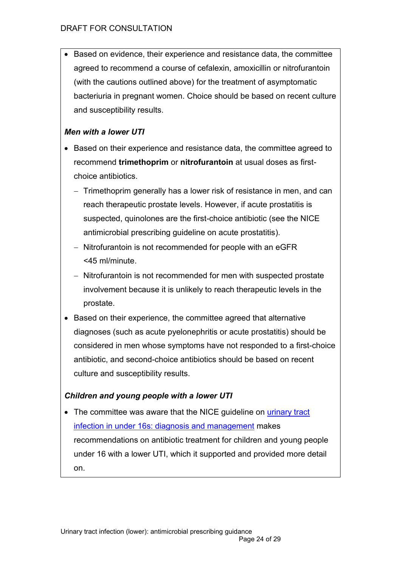Based on evidence, their experience and resistance data, the committee agreed to recommend a course of cefalexin, amoxicillin or nitrofurantoin (with the cautions outlined above) for the treatment of asymptomatic bacteriuria in pregnant women. Choice should be based on recent culture and susceptibility results.

#### *Men with a lower UTI*

- Based on their experience and resistance data, the committee agreed to recommend **trimethoprim** or **nitrofurantoin** at usual doses as firstchoice antibiotics.
	- Trimethoprim generally has a lower risk of resistance in men, and can reach therapeutic prostate levels. However, if acute prostatitis is suspected, quinolones are the first-choice antibiotic (see the NICE antimicrobial prescribing guideline on acute prostatitis).
	- Nitrofurantoin is not recommended for people with an eGFR <45 ml/minute.
	- Nitrofurantoin is not recommended for men with suspected prostate involvement because it is unlikely to reach therapeutic levels in the prostate.
- Based on their experience, the committee agreed that alternative diagnoses (such as acute pyelonephritis or acute prostatitis) should be considered in men whose symptoms have not responded to a first-choice antibiotic, and second-choice antibiotics should be based on recent culture and susceptibility results.

#### *Children and young people with a lower UTI*

• The committee was aware that the NICE quideline on urinary tract [infection in under 16s: diagnosis and management](http://www.nice.org.uk/cg54) makes recommendations on antibiotic treatment for children and young people under 16 with a lower UTI, which it supported and provided more detail on.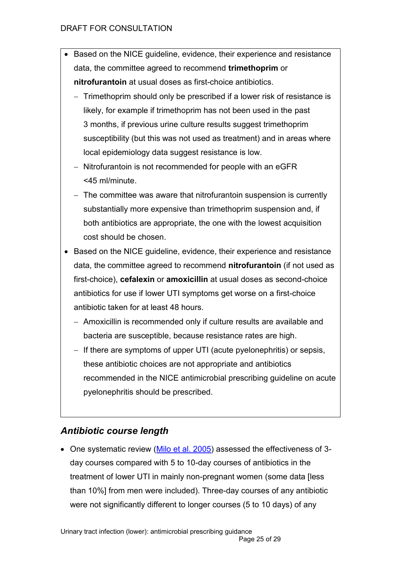- Based on the NICE guideline, evidence, their experience and resistance data, the committee agreed to recommend **trimethoprim** or **nitrofurantoin** at usual doses as first-choice antibiotics.
	- Trimethoprim should only be prescribed if a lower risk of resistance is likely, for example if trimethoprim has not been used in the past 3 months, if previous urine culture results suggest trimethoprim susceptibility (but this was not used as treatment) and in areas where local epidemiology data suggest resistance is low.
	- Nitrofurantoin is not recommended for people with an eGFR <45 ml/minute.
	- The committee was aware that nitrofurantoin suspension is currently substantially more expensive than trimethoprim suspension and, if both antibiotics are appropriate, the one with the lowest acquisition cost should be chosen.
- Based on the NICE guideline, evidence, their experience and resistance data, the committee agreed to recommend **nitrofurantoin** (if not used as first-choice), **cefalexin** or **amoxicillin** at usual doses as second-choice antibiotics for use if lower UTI symptoms get worse on a first-choice antibiotic taken for at least 48 hours.
	- Amoxicillin is recommended only if culture results are available and bacteria are susceptible, because resistance rates are high.
	- If there are symptoms of upper UTI (acute pyelonephritis) or sepsis, these antibiotic choices are not appropriate and antibiotics recommended in the NICE antimicrobial prescribing guideline on acute pyelonephritis should be prescribed.

# <span id="page-24-0"></span>*Antibiotic course length*

• One systematic review [\(Milo et al. 2005\)](https://www.ncbi.nlm.nih.gov/pubmed/15846726) assessed the effectiveness of 3day courses compared with 5 to 10-day courses of antibiotics in the treatment of lower UTI in mainly non-pregnant women (some data [less than 10%] from men were included). Three-day courses of any antibiotic were not significantly different to longer courses (5 to 10 days) of any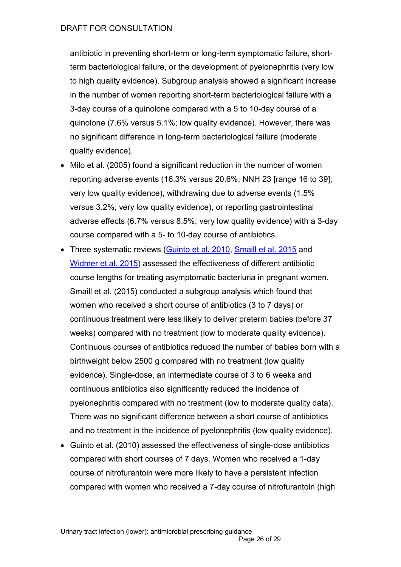antibiotic in preventing short-term or long-term symptomatic failure, shortterm bacteriological failure, or the development of pyelonephritis (very low to high quality evidence). Subgroup analysis showed a significant increase in the number of women reporting short-term bacteriological failure with a 3-day course of a quinolone compared with a 5 to 10-day course of a quinolone (7.6% versus 5.1%; low quality evidence). However, there was no significant difference in long-term bacteriological failure (moderate quality evidence).

- Milo et al. (2005) found a significant reduction in the number of women reporting adverse events (16.3% versus 20.6%; NNH 23 [range 16 to 39]; very low quality evidence), withdrawing due to adverse events (1.5% versus 3.2%; very low quality evidence), or reporting gastrointestinal adverse effects (6.7% versus 8.5%; very low quality evidence) with a 3-day course compared with a 5- to 10-day course of antibiotics.
- Three systematic reviews (Guinto [et al. 2010,](https://www.ncbi.nlm.nih.gov/pubmed/20824868) [Smaill et al. 2015](https://www.ncbi.nlm.nih.gov/pubmed/26252501) and [Widmer et al. 2015\)](https://www.ncbi.nlm.nih.gov/pubmed/26560337) assessed the effectiveness of different antibiotic course lengths for treating asymptomatic bacteriuria in pregnant women. Smaill et al. (2015) conducted a subgroup analysis which found that women who received a short course of antibiotics (3 to 7 days) or continuous treatment were less likely to deliver preterm babies (before 37 weeks) compared with no treatment (low to moderate quality evidence). Continuous courses of antibiotics reduced the number of babies born with a birthweight below 2500 g compared with no treatment (low quality evidence). Single-dose, an intermediate course of 3 to 6 weeks and continuous antibiotics also significantly reduced the incidence of pyelonephritis compared with no treatment (low to moderate quality data). There was no significant difference between a short course of antibiotics and no treatment in the incidence of pyelonephritis (low quality evidence).
- Guinto et al. (2010) assessed the effectiveness of single-dose antibiotics compared with short courses of 7 days. Women who received a 1-day course of nitrofurantoin were more likely to have a persistent infection compared with women who received a 7-day course of nitrofurantoin (high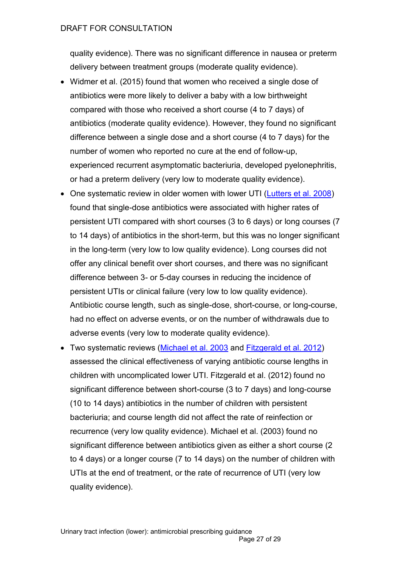quality evidence). There was no significant difference in nausea or preterm delivery between treatment groups (moderate quality evidence).

- Widmer et al. (2015) found that women who received a single dose of antibiotics were more likely to deliver a baby with a low birthweight compared with those who received a short course (4 to 7 days) of antibiotics (moderate quality evidence). However, they found no significant difference between a single dose and a short course (4 to 7 days) for the number of women who reported no cure at the end of follow-up, experienced recurrent asymptomatic bacteriuria, developed pyelonephritis, or had a preterm delivery (very low to moderate quality evidence).
- One systematic review in older women with lower UTI [\(Lutters et al. 2008\)](https://www.ncbi.nlm.nih.gov/pubmed/18646074) found that single-dose antibiotics were associated with higher rates of persistent UTI compared with short courses (3 to 6 days) or long courses (7 to 14 days) of antibiotics in the short-term, but this was no longer significant in the long-term (very low to low quality evidence). Long courses did not offer any clinical benefit over short courses, and there was no significant difference between 3- or 5-day courses in reducing the incidence of persistent UTIs or clinical failure (very low to low quality evidence). Antibiotic course length, such as single-dose, short-course, or long-course, had no effect on adverse events, or on the number of withdrawals due to adverse events (very low to moderate quality evidence).
- Two systematic reviews [\(Michael et al. 2003](https://www.ncbi.nlm.nih.gov/pubmed/?term=Short+versus+standard+duration+oral+antibiotic+therapy+for+acute+urinary+tract+infection+in+children) and [Fitzgerald et al. 2012\)](https://www.ncbi.nlm.nih.gov/pubmed/22895956) assessed the clinical effectiveness of varying antibiotic course lengths in children with uncomplicated lower UTI. Fitzgerald et al. (2012) found no significant difference between short-course (3 to 7 days) and long-course (10 to 14 days) antibiotics in the number of children with persistent bacteriuria; and course length did not affect the rate of reinfection or recurrence (very low quality evidence). Michael et al. (2003) found no significant difference between antibiotics given as either a short course (2 to 4 days) or a longer course (7 to 14 days) on the number of children with UTIs at the end of treatment, or the rate of recurrence of UTI (very low quality evidence).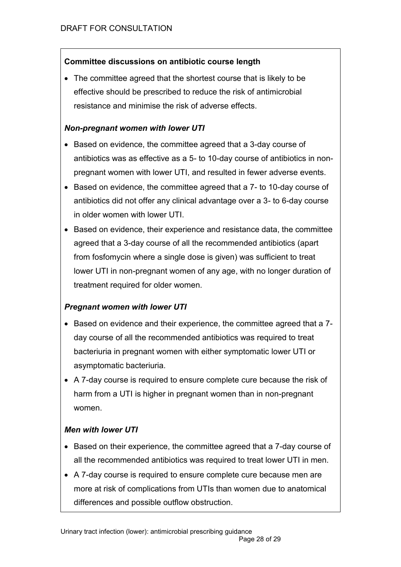### **Committee discussions on antibiotic course length**

 The committee agreed that the shortest course that is likely to be effective should be prescribed to reduce the risk of antimicrobial resistance and minimise the risk of adverse effects.

#### *Non-pregnant women with lower UTI*

- Based on evidence, the committee agreed that a 3-day course of antibiotics was as effective as a 5- to 10-day course of antibiotics in nonpregnant women with lower UTI, and resulted in fewer adverse events.
- $\bullet$  Based on evidence, the committee agreed that a  $7-$  to 10-day course of antibiotics did not offer any clinical advantage over a 3- to 6-day course in older women with lower UTI.
- Based on evidence, their experience and resistance data, the committee agreed that a 3-day course of all the recommended antibiotics (apart from fosfomycin where a single dose is given) was sufficient to treat lower UTI in non-pregnant women of any age, with no longer duration of treatment required for older women.

### *Pregnant women with lower UTI*

- Based on evidence and their experience, the committee agreed that a 7day course of all the recommended antibiotics was required to treat bacteriuria in pregnant women with either symptomatic lower UTI or asymptomatic bacteriuria.
- A 7-day course is required to ensure complete cure because the risk of harm from a UTI is higher in pregnant women than in non-pregnant women.

### *Men with lower UTI*

- Based on their experience, the committee agreed that a 7-day course of all the recommended antibiotics was required to treat lower UTI in men.
- A 7-day course is required to ensure complete cure because men are more at risk of complications from UTIs than women due to anatomical differences and possible outflow obstruction.